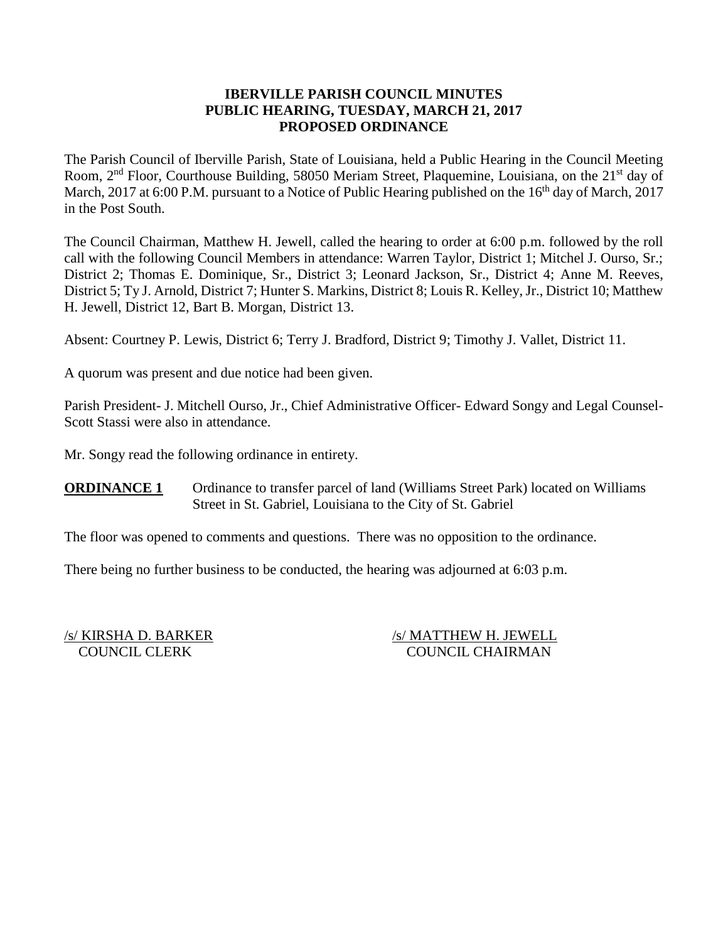## **IBERVILLE PARISH COUNCIL MINUTES PUBLIC HEARING, TUESDAY, MARCH 21, 2017 PROPOSED ORDINANCE**

The Parish Council of Iberville Parish, State of Louisiana, held a Public Hearing in the Council Meeting Room, 2<sup>nd</sup> Floor, Courthouse Building, 58050 Meriam Street, Plaquemine, Louisiana, on the 21<sup>st</sup> day of March, 2017 at 6:00 P.M. pursuant to a Notice of Public Hearing published on the  $16<sup>th</sup>$  day of March, 2017 in the Post South.

The Council Chairman, Matthew H. Jewell, called the hearing to order at 6:00 p.m. followed by the roll call with the following Council Members in attendance: Warren Taylor, District 1; Mitchel J. Ourso, Sr.; District 2; Thomas E. Dominique, Sr., District 3; Leonard Jackson, Sr., District 4; Anne M. Reeves, District 5; Ty J. Arnold, District 7; Hunter S. Markins, District 8; Louis R. Kelley, Jr., District 10; Matthew H. Jewell, District 12, Bart B. Morgan, District 13.

Absent: Courtney P. Lewis, District 6; Terry J. Bradford, District 9; Timothy J. Vallet, District 11.

A quorum was present and due notice had been given.

Parish President- J. Mitchell Ourso, Jr., Chief Administrative Officer- Edward Songy and Legal Counsel-Scott Stassi were also in attendance.

Mr. Songy read the following ordinance in entirety.

**ORDINANCE 1** Ordinance to transfer parcel of land (Williams Street Park) located on Williams Street in St. Gabriel, Louisiana to the City of St. Gabriel

The floor was opened to comments and questions. There was no opposition to the ordinance.

There being no further business to be conducted, the hearing was adjourned at 6:03 p.m.

/s/ KIRSHA D. BARKER /s/ MATTHEW H. JEWELL COUNCIL CLERK COUNCIL CHAIRMAN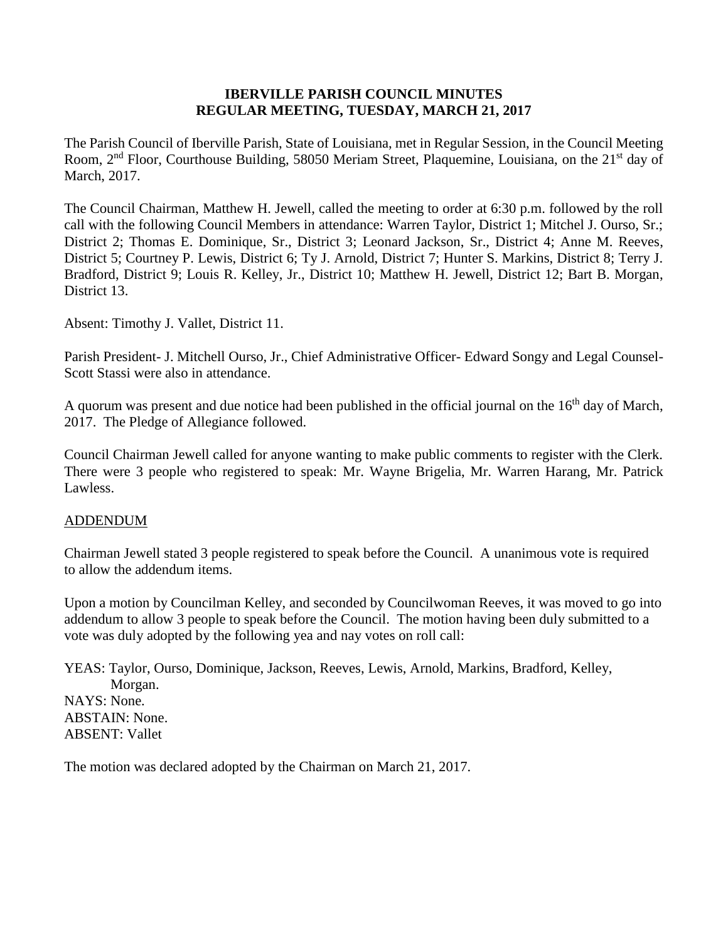## **IBERVILLE PARISH COUNCIL MINUTES REGULAR MEETING, TUESDAY, MARCH 21, 2017**

The Parish Council of Iberville Parish, State of Louisiana, met in Regular Session, in the Council Meeting Room, 2<sup>nd</sup> Floor, Courthouse Building, 58050 Meriam Street, Plaquemine, Louisiana, on the 21<sup>st</sup> day of March, 2017.

The Council Chairman, Matthew H. Jewell, called the meeting to order at 6:30 p.m. followed by the roll call with the following Council Members in attendance: Warren Taylor, District 1; Mitchel J. Ourso, Sr.; District 2; Thomas E. Dominique, Sr., District 3; Leonard Jackson, Sr., District 4; Anne M. Reeves, District 5; Courtney P. Lewis, District 6; Ty J. Arnold, District 7; Hunter S. Markins, District 8; Terry J. Bradford, District 9; Louis R. Kelley, Jr., District 10; Matthew H. Jewell, District 12; Bart B. Morgan, District 13.

Absent: Timothy J. Vallet, District 11.

Parish President- J. Mitchell Ourso, Jr., Chief Administrative Officer- Edward Songy and Legal Counsel-Scott Stassi were also in attendance.

A quorum was present and due notice had been published in the official journal on the 16<sup>th</sup> day of March, 2017. The Pledge of Allegiance followed.

Council Chairman Jewell called for anyone wanting to make public comments to register with the Clerk. There were 3 people who registered to speak: Mr. Wayne Brigelia, Mr. Warren Harang, Mr. Patrick Lawless.

#### ADDENDUM

Chairman Jewell stated 3 people registered to speak before the Council. A unanimous vote is required to allow the addendum items.

Upon a motion by Councilman Kelley, and seconded by Councilwoman Reeves, it was moved to go into addendum to allow 3 people to speak before the Council. The motion having been duly submitted to a vote was duly adopted by the following yea and nay votes on roll call:

YEAS: Taylor, Ourso, Dominique, Jackson, Reeves, Lewis, Arnold, Markins, Bradford, Kelley, Morgan. NAYS: None. ABSTAIN: None. ABSENT: Vallet

The motion was declared adopted by the Chairman on March 21, 2017.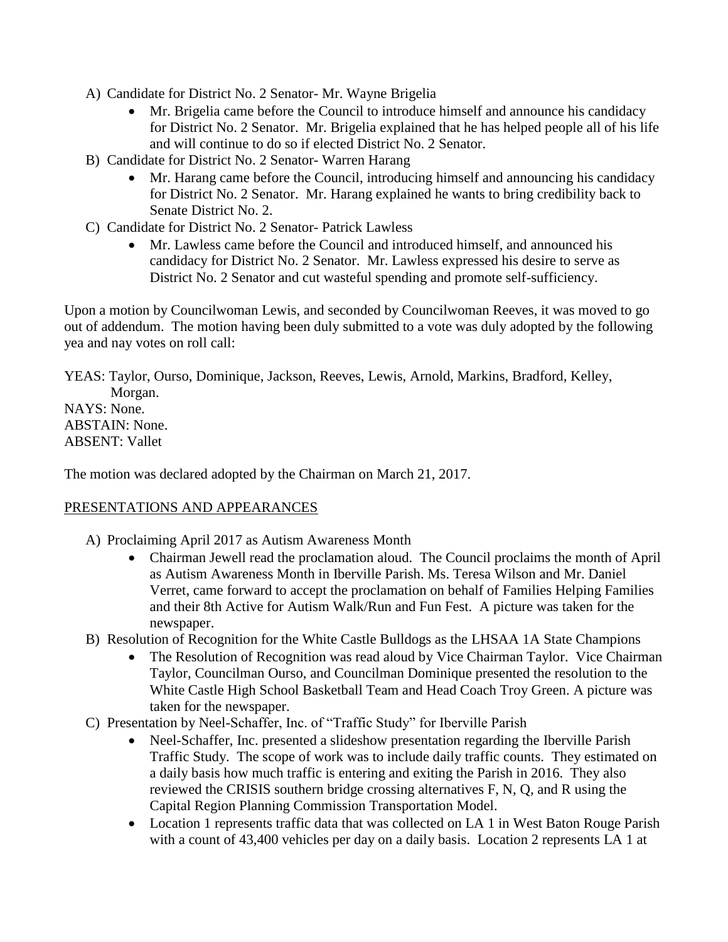- A) Candidate for District No. 2 Senator- Mr. Wayne Brigelia
	- Mr. Brigelia came before the Council to introduce himself and announce his candidacy for District No. 2 Senator. Mr. Brigelia explained that he has helped people all of his life and will continue to do so if elected District No. 2 Senator.
- B) Candidate for District No. 2 Senator- Warren Harang
	- Mr. Harang came before the Council, introducing himself and announcing his candidacy for District No. 2 Senator. Mr. Harang explained he wants to bring credibility back to Senate District No. 2.
- C) Candidate for District No. 2 Senator- Patrick Lawless
	- Mr. Lawless came before the Council and introduced himself, and announced his candidacy for District No. 2 Senator. Mr. Lawless expressed his desire to serve as District No. 2 Senator and cut wasteful spending and promote self-sufficiency.

Upon a motion by Councilwoman Lewis, and seconded by Councilwoman Reeves, it was moved to go out of addendum. The motion having been duly submitted to a vote was duly adopted by the following yea and nay votes on roll call:

YEAS: Taylor, Ourso, Dominique, Jackson, Reeves, Lewis, Arnold, Markins, Bradford, Kelley, Morgan. NAYS: None. ABSTAIN: None. ABSENT: Vallet

The motion was declared adopted by the Chairman on March 21, 2017.

# PRESENTATIONS AND APPEARANCES

- A) Proclaiming April 2017 as Autism Awareness Month
	- Chairman Jewell read the proclamation aloud. The Council proclaims the month of April as Autism Awareness Month in Iberville Parish. Ms. Teresa Wilson and Mr. Daniel Verret, came forward to accept the proclamation on behalf of Families Helping Families and their 8th Active for Autism Walk/Run and Fun Fest. A picture was taken for the newspaper.
- B) Resolution of Recognition for the White Castle Bulldogs as the LHSAA 1A State Champions
	- The Resolution of Recognition was read aloud by Vice Chairman Taylor. Vice Chairman Taylor, Councilman Ourso, and Councilman Dominique presented the resolution to the White Castle High School Basketball Team and Head Coach Troy Green. A picture was taken for the newspaper.
- C) Presentation by Neel-Schaffer, Inc. of "Traffic Study" for Iberville Parish
	- Neel-Schaffer, Inc. presented a slideshow presentation regarding the Iberville Parish Traffic Study. The scope of work was to include daily traffic counts. They estimated on a daily basis how much traffic is entering and exiting the Parish in 2016. They also reviewed the CRISIS southern bridge crossing alternatives F, N, Q, and R using the Capital Region Planning Commission Transportation Model.
	- Location 1 represents traffic data that was collected on LA 1 in West Baton Rouge Parish with a count of 43,400 vehicles per day on a daily basis. Location 2 represents LA 1 at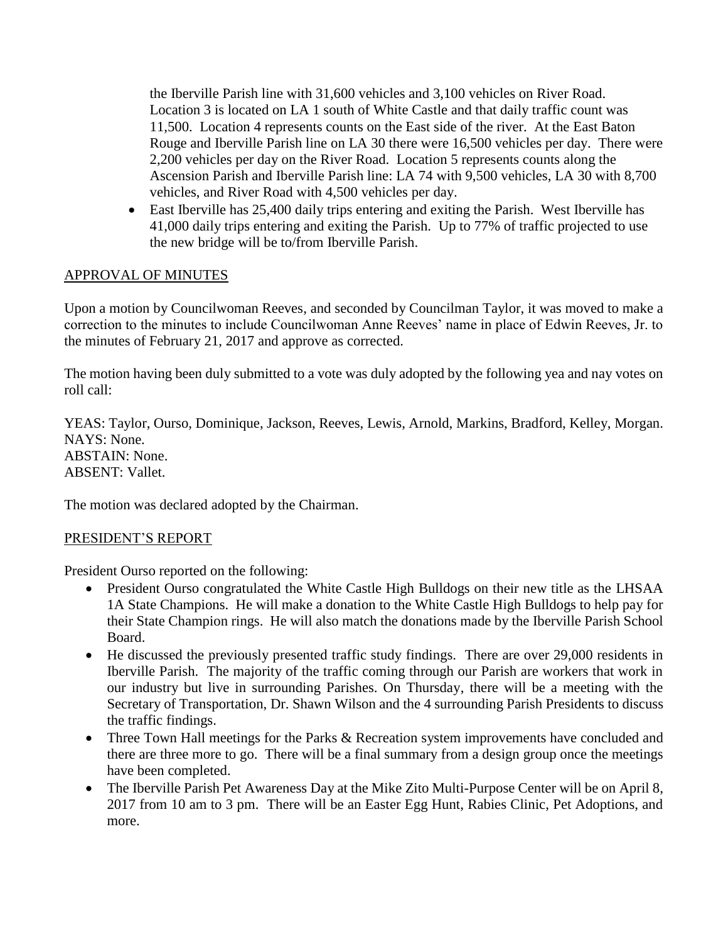the Iberville Parish line with 31,600 vehicles and 3,100 vehicles on River Road. Location 3 is located on LA 1 south of White Castle and that daily traffic count was 11,500. Location 4 represents counts on the East side of the river. At the East Baton Rouge and Iberville Parish line on LA 30 there were 16,500 vehicles per day. There were 2,200 vehicles per day on the River Road. Location 5 represents counts along the Ascension Parish and Iberville Parish line: LA 74 with 9,500 vehicles, LA 30 with 8,700 vehicles, and River Road with 4,500 vehicles per day.

 East Iberville has 25,400 daily trips entering and exiting the Parish. West Iberville has 41,000 daily trips entering and exiting the Parish. Up to 77% of traffic projected to use the new bridge will be to/from Iberville Parish.

# APPROVAL OF MINUTES

Upon a motion by Councilwoman Reeves, and seconded by Councilman Taylor, it was moved to make a correction to the minutes to include Councilwoman Anne Reeves' name in place of Edwin Reeves, Jr. to the minutes of February 21, 2017 and approve as corrected.

The motion having been duly submitted to a vote was duly adopted by the following yea and nay votes on roll call:

YEAS: Taylor, Ourso, Dominique, Jackson, Reeves, Lewis, Arnold, Markins, Bradford, Kelley, Morgan. NAYS: None. ABSTAIN: None. ABSENT: Vallet.

The motion was declared adopted by the Chairman.

# PRESIDENT'S REPORT

President Ourso reported on the following:

- President Ourso congratulated the White Castle High Bulldogs on their new title as the LHSAA 1A State Champions. He will make a donation to the White Castle High Bulldogs to help pay for their State Champion rings. He will also match the donations made by the Iberville Parish School Board.
- He discussed the previously presented traffic study findings. There are over 29,000 residents in Iberville Parish. The majority of the traffic coming through our Parish are workers that work in our industry but live in surrounding Parishes. On Thursday, there will be a meeting with the Secretary of Transportation, Dr. Shawn Wilson and the 4 surrounding Parish Presidents to discuss the traffic findings.
- Three Town Hall meetings for the Parks & Recreation system improvements have concluded and there are three more to go. There will be a final summary from a design group once the meetings have been completed.
- The Iberville Parish Pet Awareness Day at the Mike Zito Multi-Purpose Center will be on April 8, 2017 from 10 am to 3 pm. There will be an Easter Egg Hunt, Rabies Clinic, Pet Adoptions, and more.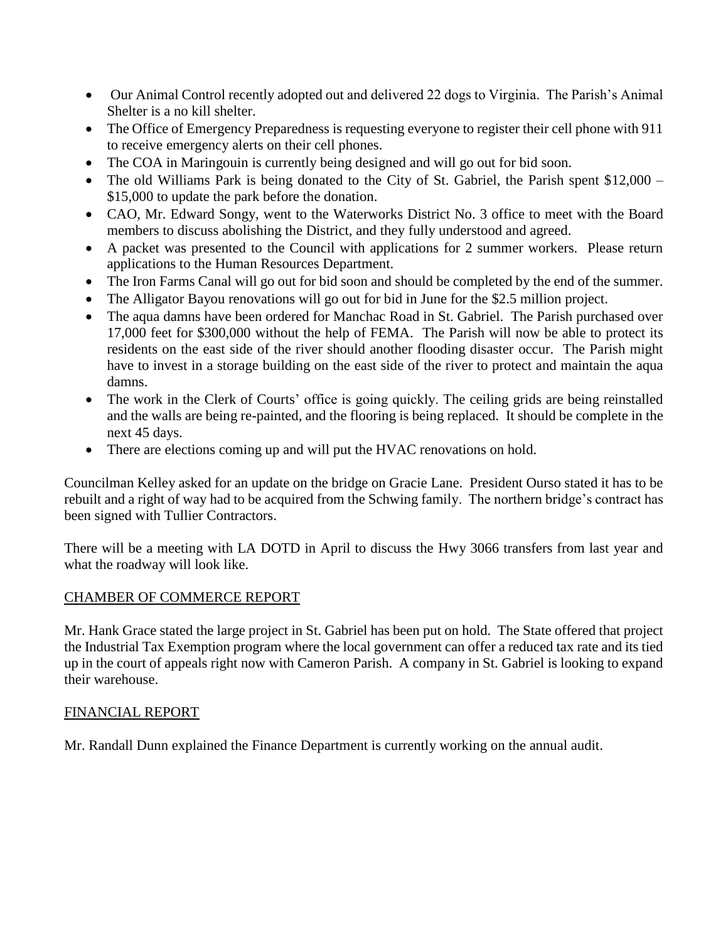- Our Animal Control recently adopted out and delivered 22 dogs to Virginia. The Parish's Animal Shelter is a no kill shelter.
- The Office of Emergency Preparedness is requesting everyone to register their cell phone with 911 to receive emergency alerts on their cell phones.
- The COA in Maringouin is currently being designed and will go out for bid soon.
- The old Williams Park is being donated to the City of St. Gabriel, the Parish spent  $$12,000 -$ \$15,000 to update the park before the donation.
- CAO, Mr. Edward Songy, went to the Waterworks District No. 3 office to meet with the Board members to discuss abolishing the District, and they fully understood and agreed.
- A packet was presented to the Council with applications for 2 summer workers. Please return applications to the Human Resources Department.
- The Iron Farms Canal will go out for bid soon and should be completed by the end of the summer.
- The Alligator Bayou renovations will go out for bid in June for the \$2.5 million project.
- The aqua damns have been ordered for Manchac Road in St. Gabriel. The Parish purchased over 17,000 feet for \$300,000 without the help of FEMA. The Parish will now be able to protect its residents on the east side of the river should another flooding disaster occur. The Parish might have to invest in a storage building on the east side of the river to protect and maintain the aqua damns.
- The work in the Clerk of Courts' office is going quickly. The ceiling grids are being reinstalled and the walls are being re-painted, and the flooring is being replaced. It should be complete in the next 45 days.
- There are elections coming up and will put the HVAC renovations on hold.

Councilman Kelley asked for an update on the bridge on Gracie Lane. President Ourso stated it has to be rebuilt and a right of way had to be acquired from the Schwing family. The northern bridge's contract has been signed with Tullier Contractors.

There will be a meeting with LA DOTD in April to discuss the Hwy 3066 transfers from last year and what the roadway will look like.

# CHAMBER OF COMMERCE REPORT

Mr. Hank Grace stated the large project in St. Gabriel has been put on hold. The State offered that project the Industrial Tax Exemption program where the local government can offer a reduced tax rate and its tied up in the court of appeals right now with Cameron Parish. A company in St. Gabriel is looking to expand their warehouse.

# FINANCIAL REPORT

Mr. Randall Dunn explained the Finance Department is currently working on the annual audit.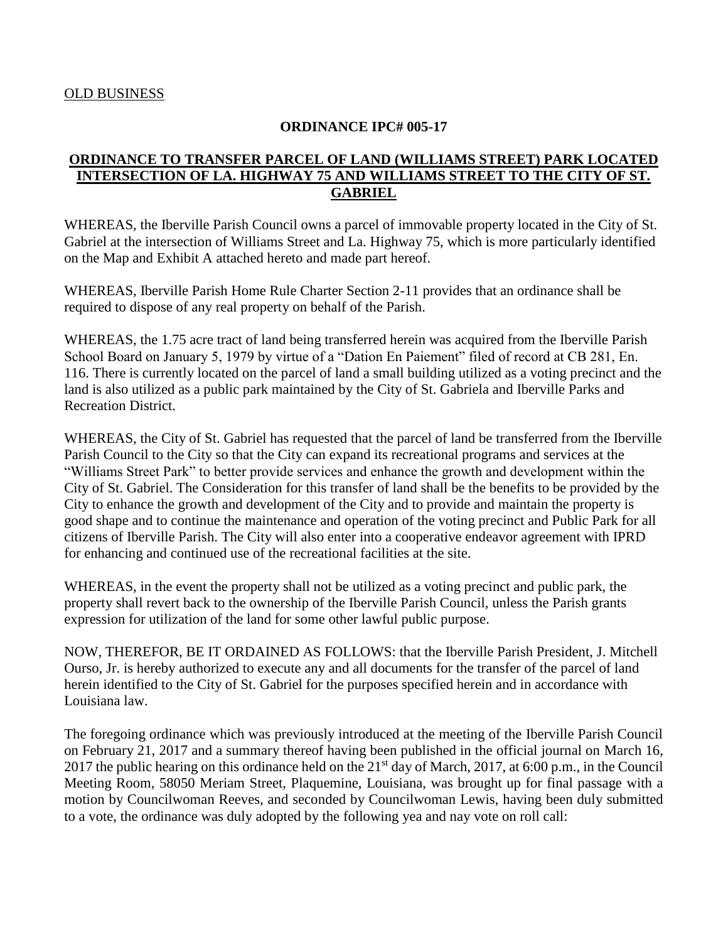#### **ORDINANCE IPC# 005-17**

## **ORDINANCE TO TRANSFER PARCEL OF LAND (WILLIAMS STREET) PARK LOCATED INTERSECTION OF LA. HIGHWAY 75 AND WILLIAMS STREET TO THE CITY OF ST. GABRIEL**

WHEREAS, the Iberville Parish Council owns a parcel of immovable property located in the City of St. Gabriel at the intersection of Williams Street and La. Highway 75, which is more particularly identified on the Map and Exhibit A attached hereto and made part hereof.

WHEREAS, Iberville Parish Home Rule Charter Section 2-11 provides that an ordinance shall be required to dispose of any real property on behalf of the Parish.

WHEREAS, the 1.75 acre tract of land being transferred herein was acquired from the Iberville Parish School Board on January 5, 1979 by virtue of a "Dation En Paiement" filed of record at CB 281, En. 116. There is currently located on the parcel of land a small building utilized as a voting precinct and the land is also utilized as a public park maintained by the City of St. Gabriela and Iberville Parks and Recreation District.

WHEREAS, the City of St. Gabriel has requested that the parcel of land be transferred from the Iberville Parish Council to the City so that the City can expand its recreational programs and services at the "Williams Street Park" to better provide services and enhance the growth and development within the City of St. Gabriel. The Consideration for this transfer of land shall be the benefits to be provided by the City to enhance the growth and development of the City and to provide and maintain the property is good shape and to continue the maintenance and operation of the voting precinct and Public Park for all citizens of Iberville Parish. The City will also enter into a cooperative endeavor agreement with IPRD for enhancing and continued use of the recreational facilities at the site.

WHEREAS, in the event the property shall not be utilized as a voting precinct and public park, the property shall revert back to the ownership of the Iberville Parish Council, unless the Parish grants expression for utilization of the land for some other lawful public purpose.

NOW, THEREFOR, BE IT ORDAINED AS FOLLOWS: that the Iberville Parish President, J. Mitchell Ourso, Jr. is hereby authorized to execute any and all documents for the transfer of the parcel of land herein identified to the City of St. Gabriel for the purposes specified herein and in accordance with Louisiana law.

The foregoing ordinance which was previously introduced at the meeting of the Iberville Parish Council on February 21, 2017 and a summary thereof having been published in the official journal on March 16, 2017 the public hearing on this ordinance held on the 21st day of March, 2017, at 6:00 p.m., in the Council Meeting Room, 58050 Meriam Street, Plaquemine, Louisiana, was brought up for final passage with a motion by Councilwoman Reeves, and seconded by Councilwoman Lewis, having been duly submitted to a vote, the ordinance was duly adopted by the following yea and nay vote on roll call: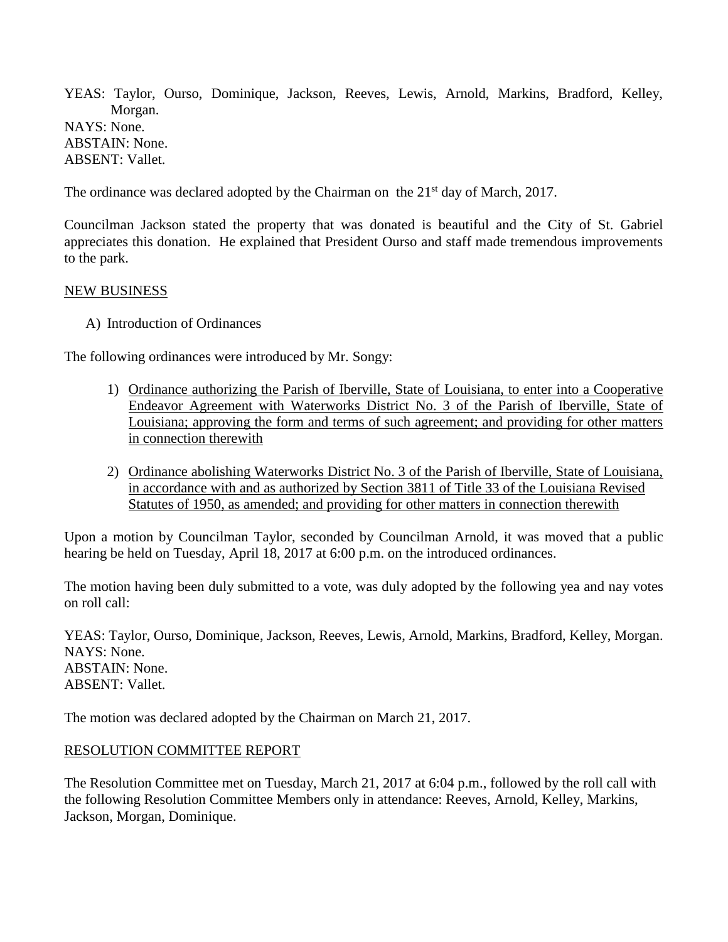YEAS: Taylor, Ourso, Dominique, Jackson, Reeves, Lewis, Arnold, Markins, Bradford, Kelley, Morgan. NAYS: None. ABSTAIN: None. ABSENT: Vallet.

The ordinance was declared adopted by the Chairman on the  $21<sup>st</sup>$  day of March, 2017.

Councilman Jackson stated the property that was donated is beautiful and the City of St. Gabriel appreciates this donation. He explained that President Ourso and staff made tremendous improvements to the park.

#### NEW BUSINESS

A) Introduction of Ordinances

The following ordinances were introduced by Mr. Songy:

- 1) Ordinance authorizing the Parish of Iberville, State of Louisiana, to enter into a Cooperative Endeavor Agreement with Waterworks District No. 3 of the Parish of Iberville, State of Louisiana; approving the form and terms of such agreement; and providing for other matters in connection therewith
- 2) Ordinance abolishing Waterworks District No. 3 of the Parish of Iberville, State of Louisiana, in accordance with and as authorized by Section 3811 of Title 33 of the Louisiana Revised Statutes of 1950, as amended; and providing for other matters in connection therewith

Upon a motion by Councilman Taylor, seconded by Councilman Arnold, it was moved that a public hearing be held on Tuesday, April 18, 2017 at 6:00 p.m. on the introduced ordinances.

The motion having been duly submitted to a vote, was duly adopted by the following yea and nay votes on roll call:

YEAS: Taylor, Ourso, Dominique, Jackson, Reeves, Lewis, Arnold, Markins, Bradford, Kelley, Morgan. NAYS: None. ABSTAIN: None. ABSENT: Vallet.

The motion was declared adopted by the Chairman on March 21, 2017.

#### RESOLUTION COMMITTEE REPORT

The Resolution Committee met on Tuesday, March 21, 2017 at 6:04 p.m., followed by the roll call with the following Resolution Committee Members only in attendance: Reeves, Arnold, Kelley, Markins, Jackson, Morgan, Dominique.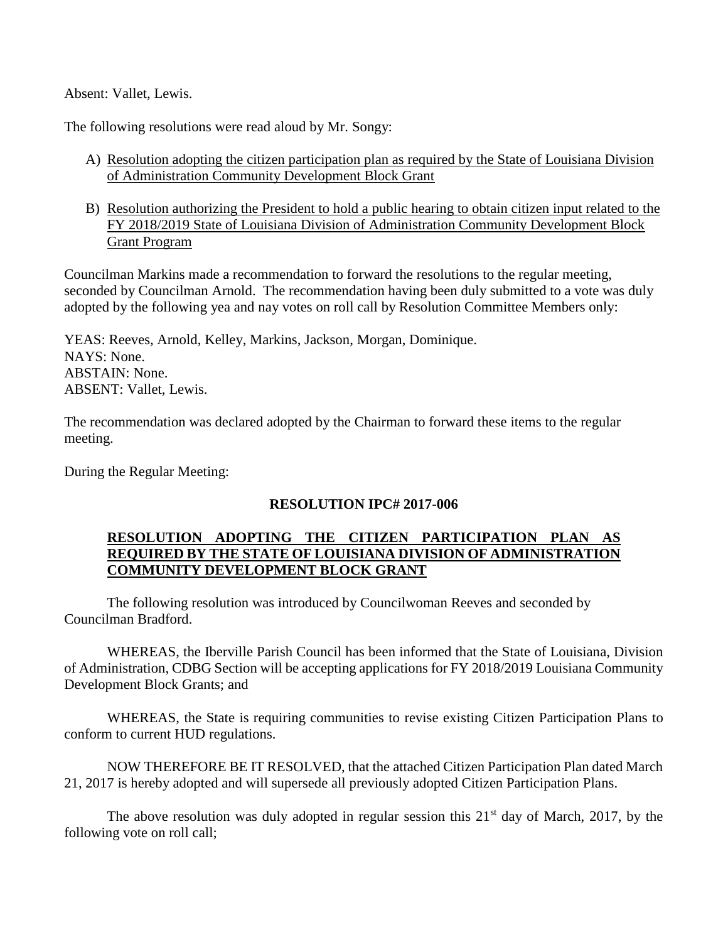Absent: Vallet, Lewis.

The following resolutions were read aloud by Mr. Songy:

- A) Resolution adopting the citizen participation plan as required by the State of Louisiana Division of Administration Community Development Block Grant
- B) Resolution authorizing the President to hold a public hearing to obtain citizen input related to the FY 2018/2019 State of Louisiana Division of Administration Community Development Block Grant Program

Councilman Markins made a recommendation to forward the resolutions to the regular meeting, seconded by Councilman Arnold. The recommendation having been duly submitted to a vote was duly adopted by the following yea and nay votes on roll call by Resolution Committee Members only:

YEAS: Reeves, Arnold, Kelley, Markins, Jackson, Morgan, Dominique. NAYS: None. ABSTAIN: None. ABSENT: Vallet, Lewis.

The recommendation was declared adopted by the Chairman to forward these items to the regular meeting.

During the Regular Meeting:

# **RESOLUTION IPC# 2017-006**

## **RESOLUTION ADOPTING THE CITIZEN PARTICIPATION PLAN AS REQUIRED BY THE STATE OF LOUISIANA DIVISION OF ADMINISTRATION COMMUNITY DEVELOPMENT BLOCK GRANT**

The following resolution was introduced by Councilwoman Reeves and seconded by Councilman Bradford.

WHEREAS, the Iberville Parish Council has been informed that the State of Louisiana, Division of Administration, CDBG Section will be accepting applications for FY 2018/2019 Louisiana Community Development Block Grants; and

WHEREAS, the State is requiring communities to revise existing Citizen Participation Plans to conform to current HUD regulations.

NOW THEREFORE BE IT RESOLVED, that the attached Citizen Participation Plan dated March 21, 2017 is hereby adopted and will supersede all previously adopted Citizen Participation Plans.

The above resolution was duly adopted in regular session this  $21<sup>st</sup>$  day of March, 2017, by the following vote on roll call;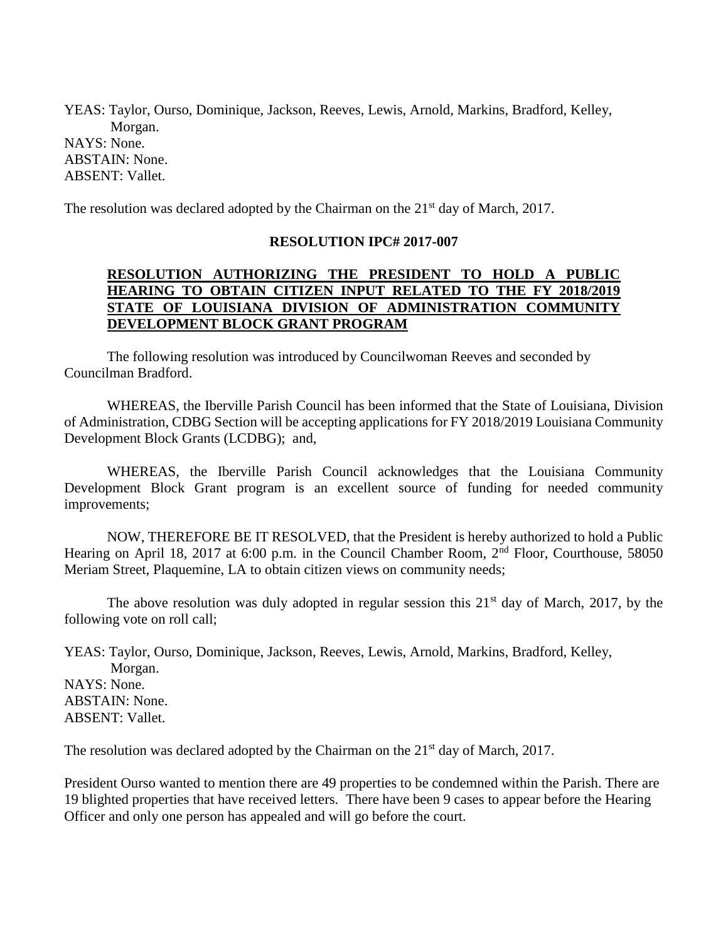YEAS: Taylor, Ourso, Dominique, Jackson, Reeves, Lewis, Arnold, Markins, Bradford, Kelley, Morgan. NAYS: None. ABSTAIN: None. ABSENT: Vallet.

The resolution was declared adopted by the Chairman on the 21<sup>st</sup> day of March, 2017.

#### **RESOLUTION IPC# 2017-007**

## **RESOLUTION AUTHORIZING THE PRESIDENT TO HOLD A PUBLIC HEARING TO OBTAIN CITIZEN INPUT RELATED TO THE FY 2018/2019 STATE OF LOUISIANA DIVISION OF ADMINISTRATION COMMUNITY DEVELOPMENT BLOCK GRANT PROGRAM**

The following resolution was introduced by Councilwoman Reeves and seconded by Councilman Bradford.

WHEREAS, the Iberville Parish Council has been informed that the State of Louisiana, Division of Administration, CDBG Section will be accepting applications for FY 2018/2019 Louisiana Community Development Block Grants (LCDBG); and,

WHEREAS, the Iberville Parish Council acknowledges that the Louisiana Community Development Block Grant program is an excellent source of funding for needed community improvements;

NOW, THEREFORE BE IT RESOLVED, that the President is hereby authorized to hold a Public Hearing on April 18, 2017 at 6:00 p.m. in the Council Chamber Room, 2<sup>nd</sup> Floor, Courthouse, 58050 Meriam Street, Plaquemine, LA to obtain citizen views on community needs;

The above resolution was duly adopted in regular session this  $21<sup>st</sup>$  day of March, 2017, by the following vote on roll call;

YEAS: Taylor, Ourso, Dominique, Jackson, Reeves, Lewis, Arnold, Markins, Bradford, Kelley, Morgan. NAYS: None. ABSTAIN: None. ABSENT: Vallet.

The resolution was declared adopted by the Chairman on the 21<sup>st</sup> day of March, 2017.

President Ourso wanted to mention there are 49 properties to be condemned within the Parish. There are 19 blighted properties that have received letters. There have been 9 cases to appear before the Hearing Officer and only one person has appealed and will go before the court.